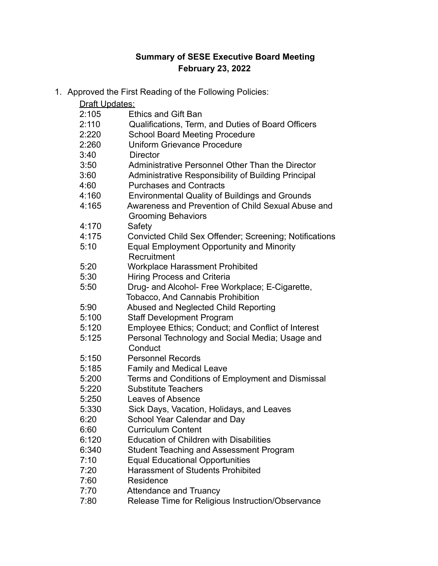## **Summary of SESE Executive Board Meeting February 23, 2022**

1. Approved the First Reading of the Following Policies:

| Draft Updates: |                                                                                 |
|----------------|---------------------------------------------------------------------------------|
| 2:105          | <b>Ethics and Gift Ban</b>                                                      |
| 2:110          | Qualifications, Term, and Duties of Board Officers                              |
| 2:220          | <b>School Board Meeting Procedure</b>                                           |
| 2:260          | <b>Uniform Grievance Procedure</b>                                              |
| 3:40           | <b>Director</b>                                                                 |
| 3:50           | Administrative Personnel Other Than the Director                                |
| 3:60           | Administrative Responsibility of Building Principal                             |
| 4:60           | <b>Purchases and Contracts</b>                                                  |
| 4:160          | <b>Environmental Quality of Buildings and Grounds</b>                           |
| 4:165          | Awareness and Prevention of Child Sexual Abuse and<br><b>Grooming Behaviors</b> |
| 4:170          | Safety                                                                          |
| 4:175          | Convicted Child Sex Offender; Screening; Notifications                          |
| 5:10           | <b>Equal Employment Opportunity and Minority</b><br>Recruitment                 |
| 5:20           | <b>Workplace Harassment Prohibited</b>                                          |
| 5:30           | <b>Hiring Process and Criteria</b>                                              |
| 5:50           | Drug- and Alcohol- Free Workplace; E-Cigarette,                                 |
|                | <b>Tobacco, And Cannabis Prohibition</b>                                        |
| 5:90           | Abused and Neglected Child Reporting                                            |
| 5:100          | <b>Staff Development Program</b>                                                |
| 5:120          | Employee Ethics; Conduct; and Conflict of Interest                              |
| 5:125          | Personal Technology and Social Media; Usage and<br>Conduct                      |
| 5:150          | <b>Personnel Records</b>                                                        |
| 5:185          | <b>Family and Medical Leave</b>                                                 |
| 5:200          | Terms and Conditions of Employment and Dismissal                                |
| 5:220          | <b>Substitute Teachers</b>                                                      |
| 5:250          | Leaves of Absence                                                               |
| 5:330          | Sick Days, Vacation, Holidays, and Leaves                                       |
| 6:20           | School Year Calendar and Day                                                    |
| 6:60           | <b>Curriculum Content</b>                                                       |
| 6:120          | <b>Education of Children with Disabilities</b>                                  |
| 6:340          | Student Teaching and Assessment Program                                         |
| 7:10           | <b>Equal Educational Opportunities</b>                                          |
| 7:20           | <b>Harassment of Students Prohibited</b>                                        |
| 7:60           | Residence                                                                       |
| 7:70           | <b>Attendance and Truancy</b>                                                   |
| 7:80           | Release Time for Religious Instruction/Observance                               |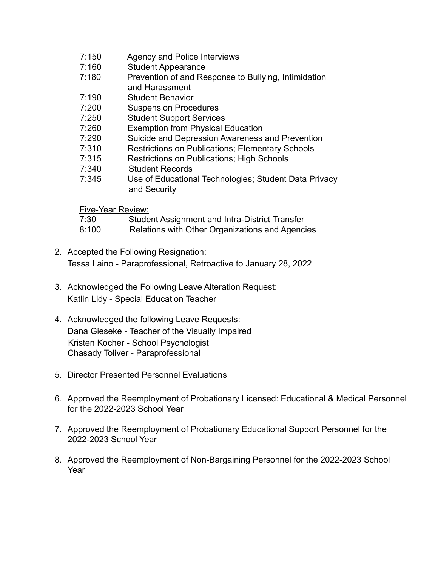- 7:150 Agency and Police Interviews
- 7:160 Student Appearance
- 7:180 Prevention of and Response to Bullying, Intimidation and Harassment
- 7:190 Student Behavior
- 7:200 Suspension Procedures
- 7:250 Student Support Services
- 7:260 Exemption from Physical Education
- 7:290 Suicide and Depression Awareness and Prevention
- 7:310 Restrictions on Publications; Elementary Schools
- 7:315 Restrictions on Publications; High Schools
- 7:340 Student Records
- 7:345 Use of Educational Technologies; Student Data Privacy and Security

Five-Year Review:

| 7:30  | Student Assignment and Intra-District Transfer  |
|-------|-------------------------------------------------|
| 8:100 | Relations with Other Organizations and Agencies |

- 2. Accepted the Following Resignation: Tessa Laino - Paraprofessional, Retroactive to January 28, 2022
- 3. Acknowledged the Following Leave Alteration Request: Katlin Lidy - Special Education Teacher
- 4. Acknowledged the following Leave Requests: Dana Gieseke - Teacher of the Visually Impaired Kristen Kocher - School Psychologist Chasady Toliver - Paraprofessional
- 5. Director Presented Personnel Evaluations
- 6. Approved the Reemployment of Probationary Licensed: Educational & Medical Personnel for the 2022-2023 School Year
- 7. Approved the Reemployment of Probationary Educational Support Personnel for the 2022-2023 School Year
- 8. Approved the Reemployment of Non-Bargaining Personnel for the 2022-2023 School Year